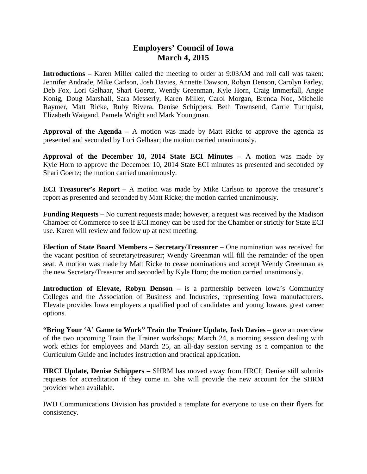## **Employers' Council of Iowa March 4, 2015**

**Introductions –** Karen Miller called the meeting to order at 9:03AM and roll call was taken: Jennifer Andrade, Mike Carlson, Josh Davies, Annette Dawson, Robyn Denson, Carolyn Farley, Deb Fox, Lori Gelhaar, Shari Goertz, Wendy Greenman, Kyle Horn, Craig Immerfall, Angie Konig, Doug Marshall, Sara Messerly, Karen Miller, Carol Morgan, Brenda Noe, Michelle Raymer, Matt Ricke, Ruby Rivera, Denise Schippers, Beth Townsend, Carrie Turnquist, Elizabeth Waigand, Pamela Wright and Mark Youngman.

**Approval of the Agenda –** A motion was made by Matt Ricke to approve the agenda as presented and seconded by Lori Gelhaar; the motion carried unanimously.

**Approval of the December 10, 2014 State ECI Minutes –** A motion was made by Kyle Horn to approve the December 10, 2014 State ECI minutes as presented and seconded by Shari Goertz; the motion carried unanimously.

**ECI Treasurer's Report –** A motion was made by Mike Carlson to approve the treasurer's report as presented and seconded by Matt Ricke; the motion carried unanimously.

**Funding Requests –** No current requests made; however, a request was received by the Madison Chamber of Commerce to see if ECI money can be used for the Chamber or strictly for State ECI use. Karen will review and follow up at next meeting.

**Election of State Board Members – Secretary/Treasurer** – One nomination was received for the vacant position of secretary/treasurer; Wendy Greenman will fill the remainder of the open seat. A motion was made by Matt Ricke to cease nominations and accept Wendy Greenman as the new Secretary/Treasurer and seconded by Kyle Horn; the motion carried unanimously.

**Introduction of Elevate, Robyn Denson – is a partnership between Iowa's Community** Colleges and the Association of Business and Industries, representing Iowa manufacturers. Elevate provides Iowa employers a qualified pool of candidates and young Iowans great career options.

**"Bring Your 'A' Game to Work" Train the Trainer Update, Josh Davies** – gave an overview of the two upcoming Train the Trainer workshops; March 24, a morning session dealing with work ethics for employees and March 25, an all-day session serving as a companion to the Curriculum Guide and includes instruction and practical application.

**HRCI Update, Denise Schippers –** SHRM has moved away from HRCI; Denise still submits requests for accreditation if they come in. She will provide the new account for the SHRM provider when available.

IWD Communications Division has provided a template for everyone to use on their flyers for consistency.